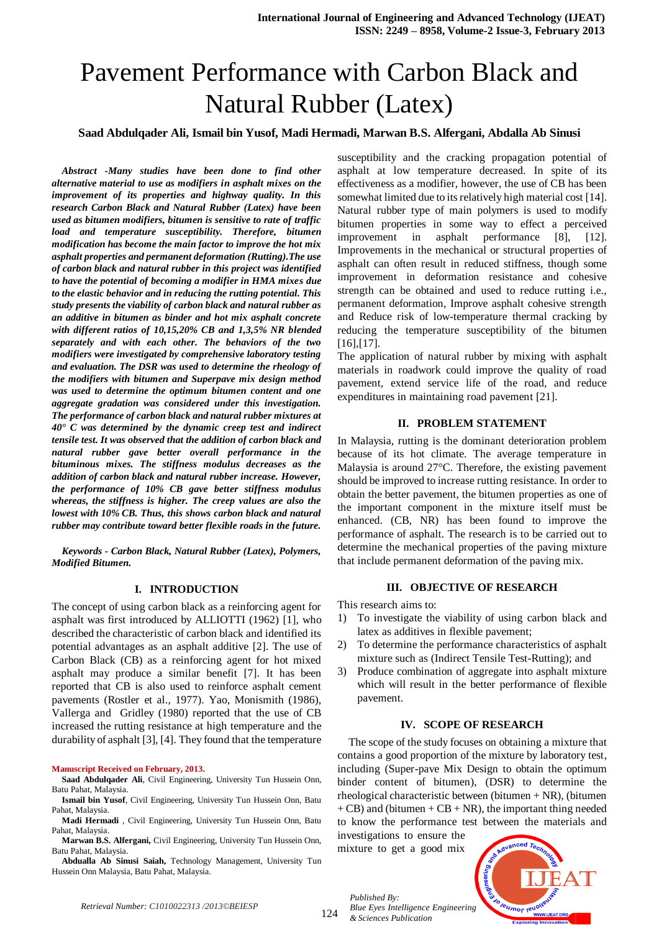# Pavement Performance with Carbon Black and Natural Rubber (Latex)

# **Saad Abdulqader Ali, Ismail bin Yusof, Madi Hermadi, Marwan B.S. Alfergani, Abdalla Ab Sinusi**

*Abstract -Many studies have been done to find other alternative material to use as modifiers in asphalt mixes on the improvement of its properties and highway quality. In this research Carbon Black and Natural Rubber (Latex) have been used as bitumen modifiers, bitumen is sensitive to rate of traffic load and temperature susceptibility. Therefore, bitumen modification has become the main factor to improve the hot mix asphalt properties and permanent deformation (Rutting).The use of carbon black and natural rubber in this project was identified to have the potential of becoming a modifier in HMA mixes due to the elastic behavior and in reducing the rutting potential. This study presents the viability of carbon black and natural rubber as an additive in bitumen as binder and hot mix asphalt concrete with different ratios of 10,15,20% CB and 1,3,5% NR blended separately and with each other. The behaviors of the two modifiers were investigated by comprehensive laboratory testing and evaluation. The DSR was used to determine the rheology of the modifiers with bitumen and Superpave mix design method was used to determine the optimum bitumen content and one aggregate gradation was considered under this investigation. The performance of carbon black and natural rubber mixtures at 40° C was determined by the dynamic creep test and indirect tensile test. It was observed that the addition of carbon black and natural rubber gave better overall performance in the bituminous mixes. The stiffness modulus decreases as the addition of carbon black and natural rubber increase. However, the performance of 10% CB gave better stiffness modulus whereas, the stiffness is higher. The creep values are also the lowest with 10% CB. Thus, this shows carbon black and natural rubber may contribute toward better flexible roads in the future.* 

*Keywords - Carbon Black, Natural Rubber (Latex), Polymers, Modified Bitumen.*

# **I. INTRODUCTION**

The concept of using carbon black as a reinforcing agent for asphalt was first introduced by ALLIOTTI (1962) [1], who described the characteristic of carbon black and identified its potential advantages as an asphalt additive [2]. The use of Carbon Black (CB) as a reinforcing agent for hot mixed asphalt may produce a similar benefit [7]. It has been reported that CB is also used to reinforce asphalt cement pavements (Rostler et al., 1977). Yao, Monismith (1986), Vallerga and Gridley (1980) reported that the use of CB increased the rutting resistance at high temperature and the durability of asphalt [3], [4]. They found that the temperature

#### **Manuscript Received on February, 2013.**

**Ismail bin Yusof**, Civil Engineering, University Tun Hussein Onn, Batu Pahat, Malaysia.

**Madi Hermadi** , Civil Engineering, University Tun Hussein Onn, Batu Pahat, Malaysia.

**Marwan B.S. Alfergani,** Civil Engineering, University Tun Hussein Onn, Batu Pahat, Malaysia.

**Abdualla Ab Sinusi Saiah,** Technology Management, University Tun Hussein Onn Malaysia, Batu Pahat, Malaysia.

susceptibility and the cracking propagation potential of asphalt at low temperature decreased. In spite of its effectiveness as a modifier, however, the use of CB has been somewhat limited due to its relatively high material cost [14]. Natural rubber type of main polymers is used to modify bitumen properties in some way to effect a perceived improvement in asphalt performance [8], [12]. Improvements in the mechanical or structural properties of asphalt can often result in reduced stiffness, though some improvement in deformation resistance and cohesive strength can be obtained and used to reduce rutting i.e., permanent deformation, Improve asphalt cohesive strength and Reduce risk of low-temperature thermal cracking by reducing the temperature susceptibility of the bitumen [16],[17].

The application of natural rubber by mixing with asphalt materials in roadwork could improve the quality of road pavement, extend service life of the road, and reduce expenditures in maintaining road pavement [21].

#### **II. PROBLEM STATEMENT**

In Malaysia, rutting is the dominant deterioration problem because of its hot climate. The average temperature in Malaysia is around 27°C. Therefore, the existing pavement should be improved to increase rutting resistance. In order to obtain the better pavement, the bitumen properties as one of the important component in the mixture itself must be enhanced. (CB, NR) has been found to improve the performance of asphalt. The research is to be carried out to determine the mechanical properties of the paving mixture that include permanent deformation of the paving mix.

#### **III. OBJECTIVE OF RESEARCH**

This research aims to:

- 1) To investigate the viability of using carbon black and latex as additives in flexible pavement;
- 2) To determine the performance characteristics of asphalt mixture such as (Indirect Tensile Test-Rutting); and
- 3) Produce combination of aggregate into asphalt mixture which will result in the better performance of flexible pavement.

#### **IV. SCOPE OF RESEARCH**

The scope of the study focuses on obtaining a mixture that contains a good proportion of the mixture by laboratory test, including (Super-pave Mix Design to obtain the optimum binder content of bitumen), (DSR) to determine the rheological characteristic between (bitumen  $+ NR$ ), (bitumen  $+ CB$ ) and (bitumen  $+ CB + NR$ ), the important thing needed to know the performance test between the materials and

investigations to ensure the mixture to get a good mix

*Published By:*

*& Sciences Publication* 



*Retrieval Number: C1010022313 /2013©BEIESP*

**Saad Abdulqader Ali**, Civil Engineering, University Tun Hussein Onn, Batu Pahat, Malaysia.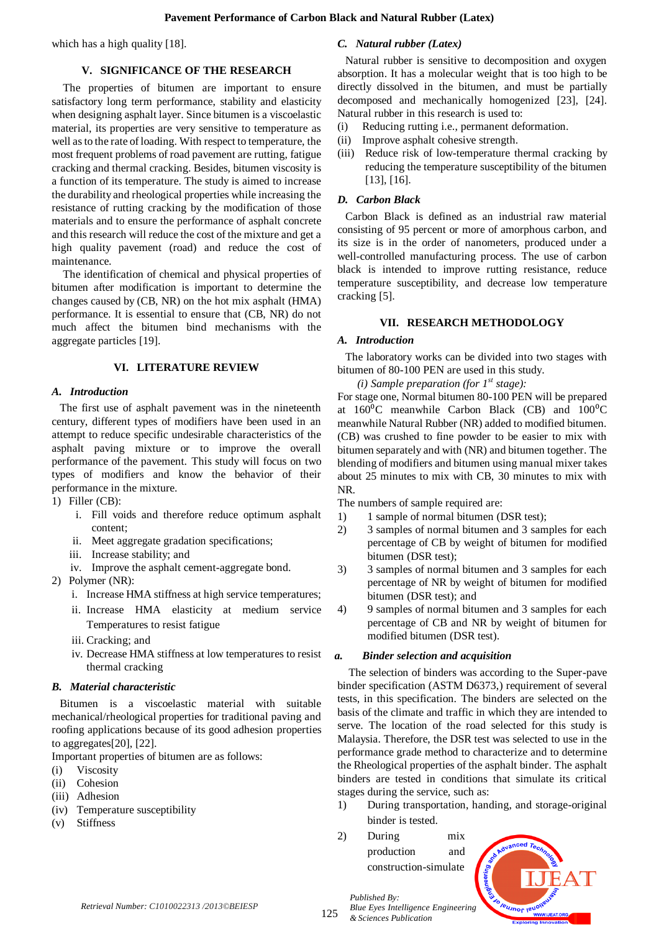which has a high quality [18].

# **V. SIGNIFICANCE OF THE RESEARCH**

The properties of bitumen are important to ensure satisfactory long term performance, stability and elasticity when designing asphalt layer. Since bitumen is a viscoelastic material, its properties are very sensitive to temperature as well as to the rate of loading. With respect to temperature, the most frequent problems of road pavement are rutting, fatigue cracking and thermal cracking. Besides, bitumen viscosity is a function of its temperature. The study is aimed to increase the durability and rheological properties while increasing the resistance of rutting cracking by the modification of those materials and to ensure the performance of asphalt concrete and this research will reduce the cost of the mixture and get a high quality pavement (road) and reduce the cost of maintenance.

The identification of chemical and physical properties of bitumen after modification is important to determine the changes caused by (CB, NR) on the hot mix asphalt (HMA) performance. It is essential to ensure that (CB, NR) do not much affect the bitumen bind mechanisms with the aggregate particles [19].

# **VI. LITERATURE REVIEW**

# *A. Introduction*

The first use of asphalt pavement was in the nineteenth century, different types of modifiers have been used in an attempt to reduce specific undesirable characteristics of the asphalt paving mixture or to improve the overall performance of the pavement. This study will focus on two types of modifiers and know the behavior of their performance in the mixture.

1) Filler (CB):

- i. Fill voids and therefore reduce optimum asphalt content;
- ii. Meet aggregate gradation specifications;
- iii. Increase stability; and
- iv. Improve the asphalt cement-aggregate bond.
- 2) Polymer (NR):
	- i. Increase HMA stiffness at high service temperatures;
	- ii. Increase HMA elasticity at medium service Temperatures to resist fatigue
	- iii. Cracking; and
	- iv. Decrease HMA stiffness at low temperatures to resist thermal cracking

#### *B. Material characteristic*

Bitumen is a viscoelastic material with suitable mechanical/rheological properties for traditional paving and roofing applications because of its good adhesion properties to aggregates[20], [22].

- Important properties of bitumen are as follows:
- (i) Viscosity
- (ii) Cohesion
- (iii) Adhesion
- (iv) Temperature susceptibility
- (v) Stiffness

# *C. Natural rubber (Latex)*

Natural rubber is sensitive to decomposition and oxygen absorption. It has a molecular weight that is too high to be directly dissolved in the bitumen, and must be partially decomposed and mechanically homogenized [23], [24]. Natural rubber in this research is used to:

- (i) Reducing rutting i.e., permanent deformation.
- (ii) Improve asphalt cohesive strength.
- (iii) Reduce risk of low-temperature thermal cracking by reducing the temperature susceptibility of the bitumen [13], [16].

# *D. Carbon Black*

Carbon Black is defined as an industrial raw material consisting of 95 percent or more of amorphous carbon, and its size is in the order of nanometers, produced under a well-controlled manufacturing process. The use of carbon black is intended to improve rutting resistance, reduce temperature susceptibility, and decrease low temperature cracking [5].

# **VII. RESEARCH METHODOLOGY**

#### *A. Introduction*

The laboratory works can be divided into two stages with bitumen of 80-100 PEN are used in this study.

*(i) Sample preparation (for 1st stage):*

For stage one, Normal bitumen 80-100 PEN will be prepared at  $160\textdegree$ C meanwhile Carbon Black (CB) and  $100\textdegree$ C meanwhile Natural Rubber (NR) added to modified bitumen. (CB) was crushed to fine powder to be easier to mix with bitumen separately and with (NR) and bitumen together. The blending of modifiers and bitumen using manual mixer takes about 25 minutes to mix with CB, 30 minutes to mix with NR.

The numbers of sample required are:

- 1) 1 sample of normal bitumen (DSR test);
- 2) 3 samples of normal bitumen and 3 samples for each percentage of CB by weight of bitumen for modified bitumen (DSR test);
- 3) 3 samples of normal bitumen and 3 samples for each percentage of NR by weight of bitumen for modified bitumen (DSR test); and
- 4) 9 samples of normal bitumen and 3 samples for each percentage of CB and NR by weight of bitumen for modified bitumen (DSR test).

# *a. Binder selection and acquisition*

The selection of binders was according to the Super-pave binder specification (ASTM D6373,) requirement of several tests, in this specification. The binders are selected on the basis of the climate and traffic in which they are intended to serve. The location of the road selected for this study is Malaysia. Therefore, the DSR test was selected to use in the performance grade method to characterize and to determine the Rheological properties of the asphalt binder. The asphalt binders are tested in conditions that simulate its critical stages during the service, such as:

- 1) During transportation, handing, and storage-original binder is tested.
- 2) During mix production and construction-simulate



125

*Published By: Blue Eyes Intelligence Engineering & Sciences Publication*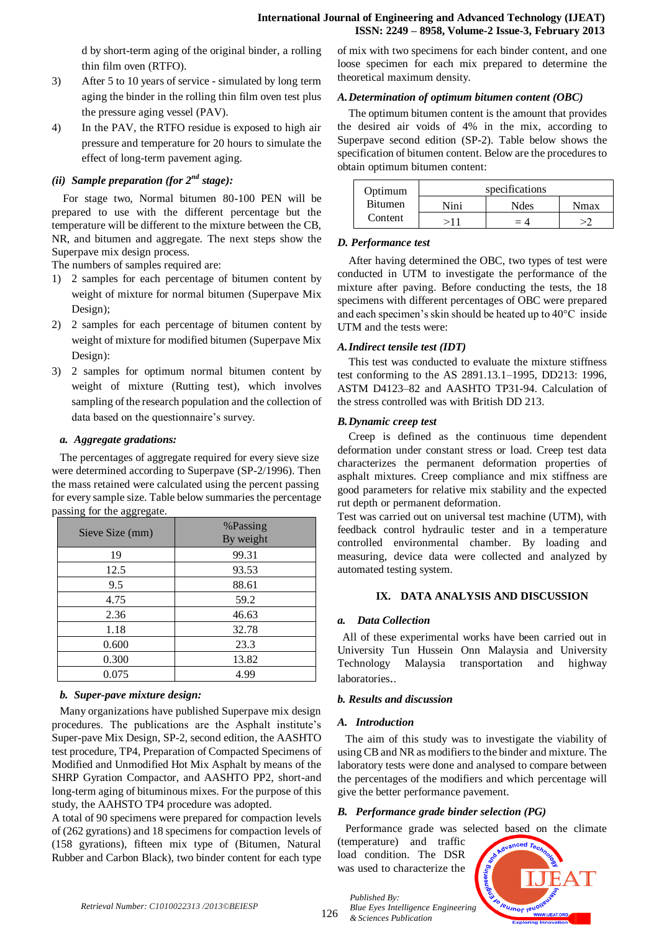d by short-term aging of the original binder, a rolling thin film oven (RTFO).

- 3) After 5 to 10 years of service simulated by long term aging the binder in the rolling thin film oven test plus the pressure aging vessel (PAV).
- 4) In the PAV, the RTFO residue is exposed to high air pressure and temperature for 20 hours to simulate the effect of long-term pavement aging.

# *(ii) Sample preparation (for 2nd stage):*

For stage two, Normal bitumen 80-100 PEN will be prepared to use with the different percentage but the temperature will be different to the mixture between the CB, NR, and bitumen and aggregate. The next steps show the Superpave mix design process.

The numbers of samples required are:

- 1) 2 samples for each percentage of bitumen content by weight of mixture for normal bitumen (Superpave Mix Design);
- 2) 2 samples for each percentage of bitumen content by weight of mixture for modified bitumen (Superpave Mix Design):
- 3) 2 samples for optimum normal bitumen content by weight of mixture (Rutting test), which involves sampling of the research population and the collection of data based on the questionnaire's survey.

#### *a. Aggregate gradations:*

The percentages of aggregate required for every sieve size were determined according to Superpave (SP-2/1996). Then the mass retained were calculated using the percent passing for every sample size. Table below summaries the percentage passing for the aggregate.

| Sieve Size (mm) | %Passing<br>By weight |  |  |
|-----------------|-----------------------|--|--|
| 19              | 99.31                 |  |  |
| 12.5            | 93.53                 |  |  |
| 9.5             | 88.61                 |  |  |
| 4.75            | 59.2                  |  |  |
| 2.36            | 46.63                 |  |  |
| 1.18            | 32.78                 |  |  |
| 0.600           | 23.3                  |  |  |
| 0.300           | 13.82                 |  |  |
| 0.075           | 4.99                  |  |  |

# *b. Super-pave mixture design:*

Many organizations have published Superpave mix design procedures. The publications are the Asphalt institute's Super-pave Mix Design, SP-2, second edition, the AASHTO test procedure, TP4, Preparation of Compacted Specimens of Modified and Unmodified Hot Mix Asphalt by means of the SHRP Gyration Compactor, and AASHTO PP2, short-and long-term aging of bituminous mixes. For the purpose of this study, the AAHSTO TP4 procedure was adopted.

A total of 90 specimens were prepared for compaction levels of (262 gyrations) and 18 specimens for compaction levels of (158 gyrations), fifteen mix type of (Bitumen, Natural Rubber and Carbon Black), two binder content for each type of mix with two specimens for each binder content, and one loose specimen for each mix prepared to determine the theoretical maximum density.

#### *A.Determination of optimum bitumen content (OBC)*

The optimum bitumen content is the amount that provides the desired air voids of 4% in the mix, according to Superpave second edition (SP-2). Table below shows the specification of bitumen content. Below are the procedures to obtain optimum bitumen content:

| Optimum        | specifications |      |      |
|----------------|----------------|------|------|
| <b>Bitumen</b> | Nini           | Ndes | Nmax |
| Content        |                | $=4$ |      |

#### *D. Performance test*

After having determined the OBC, two types of test were conducted in UTM to investigate the performance of the mixture after paving. Before conducting the tests, the 18 specimens with different percentages of OBC were prepared and each specimen's skin should be heated up to 40°C inside UTM and the tests were:

#### *A.Indirect tensile test (IDT)*

This test was conducted to evaluate the mixture stiffness test conforming to the AS 2891.13.1–1995, DD213: 1996, ASTM D4123–82 and AASHTO TP31-94. Calculation of the stress controlled was with British DD 213.

#### *B.Dynamic creep test*

Creep is defined as the continuous time dependent deformation under constant stress or load. Creep test data characterizes the permanent deformation properties of asphalt mixtures. Creep compliance and mix stiffness are good parameters for relative mix stability and the expected rut depth or permanent deformation.

Test was carried out on universal test machine (UTM), with feedback control hydraulic tester and in a temperature controlled environmental chamber. By loading and measuring, device data were collected and analyzed by automated testing system.

# **IX. DATA ANALYSIS AND DISCUSSION**

# *a. Data Collection*

All of these experimental works have been carried out in University Tun Hussein Onn Malaysia and University Technology Malaysia transportation and highway laboratories..

#### *b. Results and discussion*

#### *A. Introduction*

*Published By:*

*& Sciences Publication* 

The aim of this study was to investigate the viability of using CB and NR as modifiers to the binder and mixture. The laboratory tests were done and analysed to compare between the percentages of the modifiers and which percentage will give the better performance pavement.

# *B. Performance grade binder selection (PG)*

Performance grade was selected based on the climate

(temperature) and traffic load condition. The DSR was used to characterize the

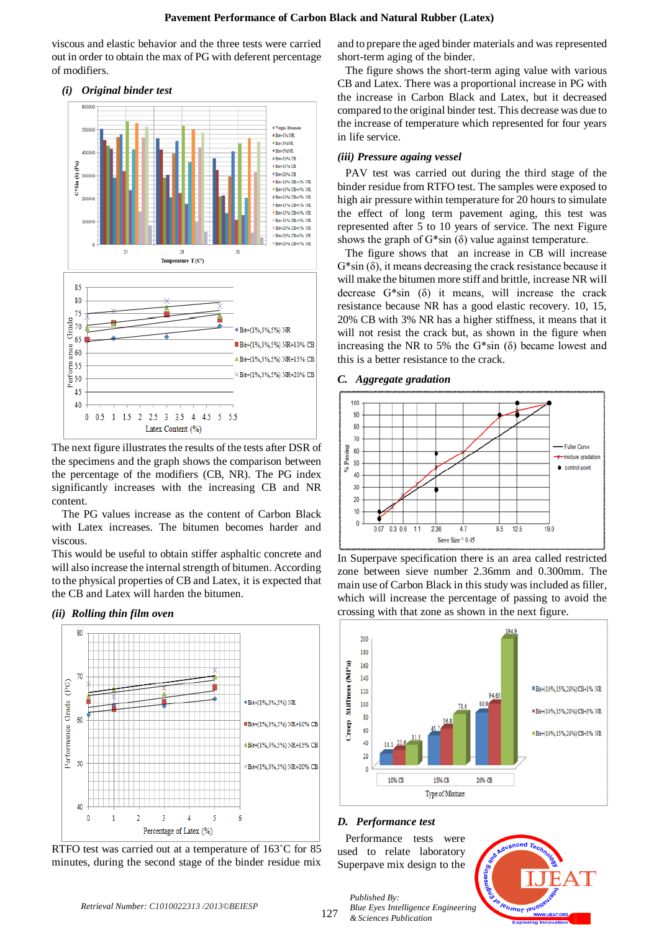viscous and elastic behavior and the three tests were carried out in order to obtain the max of PG with deferent percentage of modifiers.



The next figure illustrates the results of the tests after DSR of the specimens and the graph shows the comparison between the percentage of the modifiers (CB, NR). The PG index significantly increases with the increasing CB and NR content.

The PG values increase as the content of Carbon Black with Latex increases. The bitumen becomes harder and viscous.

This would be useful to obtain stiffer asphaltic concrete and will also increase the internal strength of bitumen. According to the physical properties of CB and Latex, it is expected that the CB and Latex will harden the bitumen.

#### *(ii) Rolling thin film oven*



RTFO test was carried out at a temperature of 163˚C for 85 minutes, during the second stage of the binder residue mix

and to prepare the aged binder materials and was represented short-term aging of the binder.

The figure shows the short-term aging value with various CB and Latex. There was a proportional increase in PG with the increase in Carbon Black and Latex, but it decreased compared to the original binder test. This decrease was due to the increase of temperature which represented for four years in life service.

#### *(iii) Pressure againg vessel*

PAV test was carried out during the third stage of the binder residue from RTFO test. The samples were exposed to high air pressure within temperature for 20 hours to simulate the effect of long term pavement aging, this test was represented after 5 to 10 years of service. The next Figure shows the graph of  $G^*$ sin (δ) value against temperature.

The figure shows that an increase in CB will increase  $G^*$ sin  $(\delta)$ , it means decreasing the crack resistance because it will make the bitumen more stiff and brittle, increase NR will decrease  $G^*$ sin  $(\delta)$  it means, will increase the crack resistance because NR has a good elastic recovery. 10, 15, 20% CB with 3% NR has a higher stiffness, it means that it will not resist the crack but, as shown in the figure when increasing the NR to 5% the  $G*sin(\delta)$  became lowest and this is a better resistance to the crack.

#### *C. Aggregate gradation*



In Superpave specification there is an area called restricted zone between sieve number 2.36mm and 0.300mm. The main use of Carbon Black in this study was included as filler, which will increase the percentage of passing to avoid the crossing with that zone as shown in the next figure.



#### *D. Performance test*

*Published By:*

*& Sciences Publication* 

Performance tests were used to relate laboratory Superpave mix design to the



*Retrieval Number: C1010022313 /2013©BEIESP*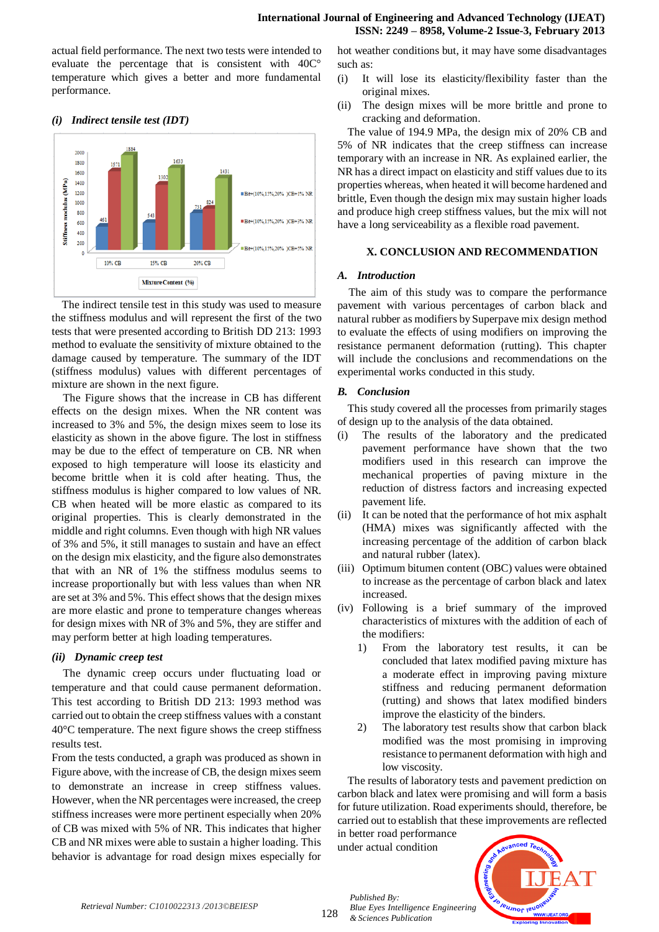actual field performance. The next two tests were intended to evaluate the percentage that is consistent with 40C° temperature which gives a better and more fundamental performance.

#### 2000 1800 1600 modulus (MPa) 1400 1200 **BR#+(10% 15% 20% 1CR+1% NR** 1000 \$00 Bit+(10%.15%.20% )CB+3% NR 600 **Stiffness** 400  $200$ "Bit+(10%,15%,20% )CB+5% NR 10% CB 15% CB 20% CB **Mixture Content** (%)

# *(i) Indirect tensile test (IDT)*

The indirect tensile test in this study was used to measure the stiffness modulus and will represent the first of the two tests that were presented according to British DD 213: 1993 method to evaluate the sensitivity of mixture obtained to the damage caused by temperature. The summary of the IDT (stiffness modulus) values with different percentages of mixture are shown in the next figure.

The Figure shows that the increase in CB has different effects on the design mixes. When the NR content was increased to 3% and 5%, the design mixes seem to lose its elasticity as shown in the above figure. The lost in stiffness may be due to the effect of temperature on CB. NR when exposed to high temperature will loose its elasticity and become brittle when it is cold after heating. Thus, the stiffness modulus is higher compared to low values of NR. CB when heated will be more elastic as compared to its original properties. This is clearly demonstrated in the middle and right columns. Even though with high NR values of 3% and 5%, it still manages to sustain and have an effect on the design mix elasticity, and the figure also demonstrates that with an NR of 1% the stiffness modulus seems to increase proportionally but with less values than when NR are set at 3% and 5%. This effect shows that the design mixes are more elastic and prone to temperature changes whereas for design mixes with NR of 3% and 5%, they are stiffer and may perform better at high loading temperatures.

# *(ii) Dynamic creep test*

The dynamic creep occurs under fluctuating load or temperature and that could cause permanent deformation. This test according to British DD 213: 1993 method was carried out to obtain the creep stiffness values with a constant 40°C temperature. The next figure shows the creep stiffness results test.

From the tests conducted, a graph was produced as shown in Figure above, with the increase of CB, the design mixes seem to demonstrate an increase in creep stiffness values. However, when the NR percentages were increased, the creep stiffness increases were more pertinent especially when 20% of CB was mixed with 5% of NR. This indicates that higher CB and NR mixes were able to sustain a higher loading. This behavior is advantage for road design mixes especially for hot weather conditions but, it may have some disadvantages such as:

- (i) It will lose its elasticity/flexibility faster than the original mixes.
- (ii) The design mixes will be more brittle and prone to cracking and deformation.

The value of 194.9 MPa, the design mix of 20% CB and 5% of NR indicates that the creep stiffness can increase temporary with an increase in NR. As explained earlier, the NR has a direct impact on elasticity and stiff values due to its properties whereas, when heated it will become hardened and brittle, Even though the design mix may sustain higher loads and produce high creep stiffness values, but the mix will not have a long serviceability as a flexible road pavement.

# **X. CONCLUSION AND RECOMMENDATION**

#### *A. Introduction*

The aim of this study was to compare the performance pavement with various percentages of carbon black and natural rubber as modifiers by Superpave mix design method to evaluate the effects of using modifiers on improving the resistance permanent deformation (rutting). This chapter will include the conclusions and recommendations on the experimental works conducted in this study.

#### *B. Conclusion*

This study covered all the processes from primarily stages of design up to the analysis of the data obtained.

- (i) The results of the laboratory and the predicated pavement performance have shown that the two modifiers used in this research can improve the mechanical properties of paving mixture in the reduction of distress factors and increasing expected pavement life.
- (ii) It can be noted that the performance of hot mix asphalt (HMA) mixes was significantly affected with the increasing percentage of the addition of carbon black and natural rubber (latex).
- (iii) Optimum bitumen content (OBC) values were obtained to increase as the percentage of carbon black and latex increased.
- (iv) Following is a brief summary of the improved characteristics of mixtures with the addition of each of the modifiers:
	- 1) From the laboratory test results, it can be concluded that latex modified paving mixture has a moderate effect in improving paving mixture stiffness and reducing permanent deformation (rutting) and shows that latex modified binders improve the elasticity of the binders.
	- 2) The laboratory test results show that carbon black modified was the most promising in improving resistance to permanent deformation with high and low viscosity.

The results of laboratory tests and pavement prediction on carbon black and latex were promising and will form a basis for future utilization. Road experiments should, therefore, be carried out to establish that these improvements are reflected

in better road performance under actual condition

*& Sciences Publication* 

*Published By:*